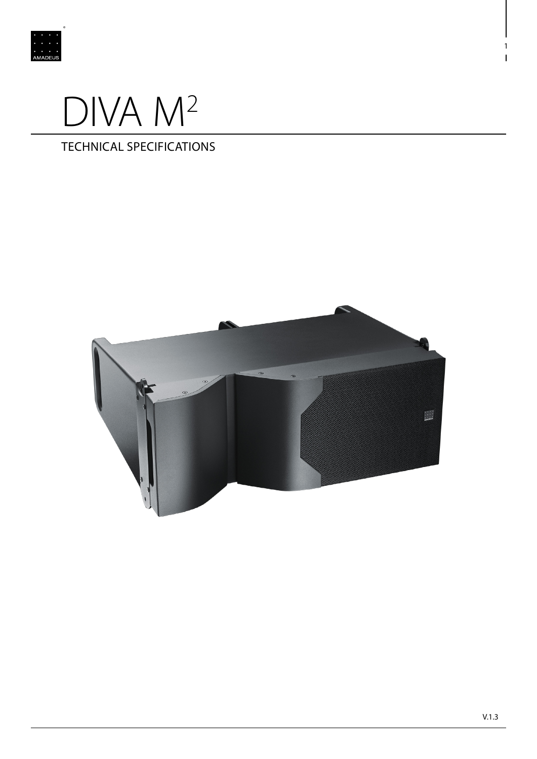

# DIVA M<sup>2</sup>

# **TECHNICAL SPECIFICATIONS**

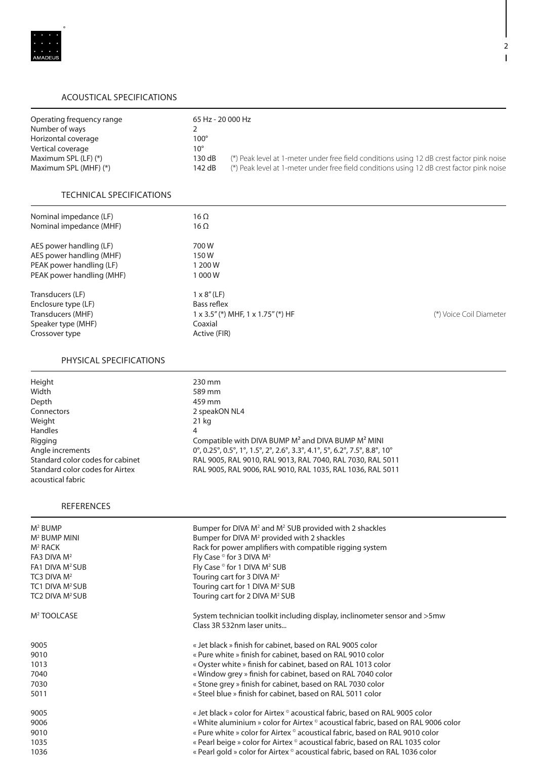

## ACOUSTICAL SPECIFICATIONS

| 65 Hz - 20 000 Hz |                                                                                           |
|-------------------|-------------------------------------------------------------------------------------------|
|                   |                                                                                           |
| 100°              |                                                                                           |
| 10°               |                                                                                           |
| 130 dB            | (*) Peak level at 1-meter under free field conditions using 12 dB crest factor pink noise |
| 142 dB            | (*) Peak level at 1-meter under free field conditions using 12 dB crest factor pink noise |
|                   |                                                                                           |

#### TECHNICAL SPECIFICATIONS

| Nominal impedance (LF)<br>Nominal impedance (MHF)                                                            | $16 \Omega$<br>$16 \Omega$                                                                                          |                         |
|--------------------------------------------------------------------------------------------------------------|---------------------------------------------------------------------------------------------------------------------|-------------------------|
| AES power handling (LF)<br>AES power handling (MHF)<br>PEAK power handling (LF)<br>PEAK power handling (MHF) | 700 W<br>150W<br>1 200 W<br>1 000 W                                                                                 |                         |
| Transducers (LF)<br>Enclosure type (LF)<br>Transducers (MHF)<br>Speaker type (MHF)<br>Crossover type         | $1 \times 8''$ (LF)<br>Bass reflex<br>$1 \times 3.5$ " (*) MHF, $1 \times 1.75$ " (*) HF<br>Coaxial<br>Active (FIR) | (*) Voice Coil Diameter |

### PHYSICAL SPECIFICATIONS

#### REFERENCES

| $M^2$ BUMP<br>M <sup>2</sup> BUMP MINI<br>M <sup>2</sup> RACK<br>FA3 DIVA M <sup>2</sup><br>FA1 DIVA M <sup>2</sup> SUB<br>TC3 DIVA $M^2$<br>TC1 DIVA M <sup>2</sup> SUB<br>TC2 DIVA M <sup>2</sup> SUB | Bumper for DIVA M <sup>2</sup> and M <sup>2</sup> SUB provided with 2 shackles<br>Bumper for DIVA M <sup>2</sup> provided with 2 shackles<br>Rack for power amplifiers with compatible rigging system<br>Fly Case $\degree$ for 3 DIVA M <sup>2</sup><br>Fly Case $\circ$ for 1 DIVA M <sup>2</sup> SUB<br>Touring cart for 3 DIVA $M^2$<br>Touring cart for 1 DIVA M <sup>2</sup> SUB<br>Touring cart for 2 DIVA M <sup>2</sup> SUB |
|---------------------------------------------------------------------------------------------------------------------------------------------------------------------------------------------------------|--------------------------------------------------------------------------------------------------------------------------------------------------------------------------------------------------------------------------------------------------------------------------------------------------------------------------------------------------------------------------------------------------------------------------------------|
| M <sup>2</sup> TOOLCASE                                                                                                                                                                                 | System technician toolkit including display, inclinometer sensor and >5mw<br>Class 3R 532nm laser units                                                                                                                                                                                                                                                                                                                              |
| 9005                                                                                                                                                                                                    | « Jet black » finish for cabinet, based on RAL 9005 color                                                                                                                                                                                                                                                                                                                                                                            |
| 9010                                                                                                                                                                                                    | « Pure white » finish for cabinet, based on RAL 9010 color                                                                                                                                                                                                                                                                                                                                                                           |
| 1013                                                                                                                                                                                                    | « Oyster white » finish for cabinet, based on RAL 1013 color                                                                                                                                                                                                                                                                                                                                                                         |
| 7040                                                                                                                                                                                                    | « Window grey » finish for cabinet, based on RAL 7040 color                                                                                                                                                                                                                                                                                                                                                                          |
| 7030                                                                                                                                                                                                    | « Stone grey » finish for cabinet, based on RAL 7030 color                                                                                                                                                                                                                                                                                                                                                                           |
| 5011                                                                                                                                                                                                    | « Steel blue » finish for cabinet, based on RAL 5011 color                                                                                                                                                                                                                                                                                                                                                                           |
| 9005                                                                                                                                                                                                    | « Jet black » color for Airtex © acoustical fabric, based on RAL 9005 color                                                                                                                                                                                                                                                                                                                                                          |
| 9006                                                                                                                                                                                                    | « White aluminium » color for Airtex © acoustical fabric, based on RAL 9006 color                                                                                                                                                                                                                                                                                                                                                    |
| 9010                                                                                                                                                                                                    | « Pure white » color for Airtex © acoustical fabric, based on RAL 9010 color                                                                                                                                                                                                                                                                                                                                                         |
| 1035                                                                                                                                                                                                    | « Pearl beige » color for Airtex © acoustical fabric, based on RAL 1035 color                                                                                                                                                                                                                                                                                                                                                        |
| 1036                                                                                                                                                                                                    | « Pearl gold » color for Airtex ® acoustical fabric, based on RAL 1036 color                                                                                                                                                                                                                                                                                                                                                         |